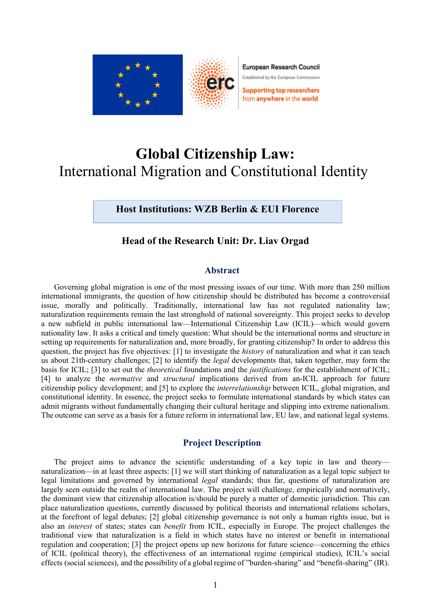

European Research Council

Established by the European Commission

**Supporting top researchers** from anywhere in the world

# **Global Citizenship Law:** International Migration and Constitutional Identity

**Host Institutions: WZB Berlin & EUI Florence**

## **Head of the Research Unit: Dr. Liav Orgad**

### **Abstract**

Governing global migration is one of the most pressing issues of our time. With more than 250 million international immigrants, the question of how citizenship should be distributed has become a controversial issue, morally and politically. Traditionally, international law has not regulated nationality law; naturalization requirements remain the last stronghold of national sovereignty. This project seeks to develop a new subfield in public international law—International Citizenship Law (ICIL)—which would govern nationality law. It asks a critical and timely question: What should be the international norms and structure in setting up requirements for naturalization and, more broadly, for granting citizenship? In order to address this question, the project has five objectives: [1] to investigate the *history* of naturalization and what it can teach us about 21th-century challenges; [2] to identify the *legal* developments that, taken together, may form the basis for ICIL; [3] to set out the *theoretical* foundations and the *justifications* for the establishment of ICIL; [4] to analyze the *normative* and *structural* implications derived from an-ICIL approach for future citizenship policy development; and [5] to explore the *interrelationship* between ICIL, global migration, and constitutional identity. In essence, the project seeks to formulate international standards by which states can admit migrants without fundamentally changing their cultural heritage and slipping into extreme nationalism. The outcome can serve as a basis for a future reform in international law, EU law, and national legal systems.

## **Project Description**

The project aims to advance the scientific understanding of a key topic in law and theory naturalization—in at least three aspects: [1] we will start thinking of naturalization as a legal topic subject to legal limitations and governed by international *legal* standards; thus far, questions of naturalization are largely seen outside the realm of international law. The project will challenge, empirically and normatively, the dominant view that citizenship allocation is/should be purely a matter of domestic jurisdiction. This can place naturalization questions, currently discussed by political theorists and international relations scholars, at the forefront of legal debates; [2] global citizenship governance is not only a human rights issue, but is also an *interest* of states; states can *benefit* from ICIL, especially in Europe. The project challenges the traditional view that naturalization is a field in which states have no interest or benefit in international regulation and cooperation; [3] the project opens up new horizons for future science—concerning the ethics of ICIL (political theory), the effectiveness of an international regime (empirical studies), ICIL's social effects (social sciences), and the possibility of a global regime of "burden-sharing" and "benefit-sharing" (IR).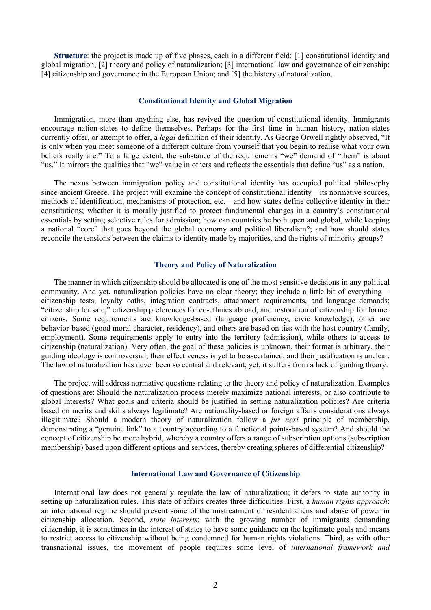**Structure**: the project is made up of five phases, each in a different field: [1] constitutional identity and global migration; [2] theory and policy of naturalization; [3] international law and governance of citizenship; [4] citizenship and governance in the European Union; and [5] the history of naturalization.

#### **Constitutional Identity and Global Migration**

Immigration, more than anything else, has revived the question of constitutional identity. Immigrants encourage nation-states to define themselves. Perhaps for the first time in human history, nation-states currently offer, or attempt to offer, a *legal* definition of their identity. As George Orwell rightly observed, "It is only when you meet someone of a different culture from yourself that you begin to realise what your own beliefs really are." To a large extent, the substance of the requirements "we" demand of "them" is about "us." It mirrors the qualities that "we" value in others and reflects the essentials that define "us" as a nation.

The nexus between immigration policy and constitutional identity has occupied political philosophy since ancient Greece. The project will examine the concept of constitutional identity—its normative sources, methods of identification, mechanisms of protection, etc.—and how states define collective identity in their constitutions; whether it is morally justified to protect fundamental changes in a country's constitutional essentials by setting selective rules for admission; how can countries be both open and global, while keeping a national "core" that goes beyond the global economy and political liberalism?; and how should states reconcile the tensions between the claims to identity made by majorities, and the rights of minority groups?

#### **Theory and Policy of Naturalization**

The manner in which citizenship should be allocated is one of the most sensitive decisions in any political community. And yet, naturalization policies have no clear theory; they include a little bit of everything citizenship tests, loyalty oaths, integration contracts, attachment requirements, and language demands; "citizenship for sale," citizenship preferences for co-ethnics abroad, and restoration of citizenship for former citizens. Some requirements are knowledge-based (language proficiency, civic knowledge), other are behavior-based (good moral character, residency), and others are based on ties with the host country (family, employment). Some requirements apply to entry into the territory (admission), while others to access to citizenship (naturalization). Very often, the goal of these policies is unknown, their format is arbitrary, their guiding ideology is controversial, their effectiveness is yet to be ascertained, and their justification is unclear. The law of naturalization has never been so central and relevant; yet, it suffers from a lack of guiding theory.

The project will address normative questions relating to the theory and policy of naturalization. Examples of questions are: Should the naturalization process merely maximize national interests, or also contribute to global interests? What goals and criteria should be justified in setting naturalization policies? Are criteria based on merits and skills always legitimate? Are nationality-based or foreign affairs considerations always illegitimate? Should a modern theory of naturalization follow a *jus nexi* principle of membership, demonstrating a "genuine link" to a country according to a functional points-based system? And should the concept of citizenship be more hybrid, whereby a country offers a range of subscription options (subscription membership) based upon different options and services, thereby creating spheres of differential citizenship?

#### **International Law and Governance of Citizenship**

International law does not generally regulate the law of naturalization; it defers to state authority in setting up naturalization rules. This state of affairs creates three difficulties. First, a *human rights approach*: an international regime should prevent some of the mistreatment of resident aliens and abuse of power in citizenship allocation. Second, *state interests*: with the growing number of immigrants demanding citizenship, it is sometimes in the interest of states to have some guidance on the legitimate goals and means to restrict access to citizenship without being condemned for human rights violations. Third, as with other transnational issues, the movement of people requires some level of *international framework and*